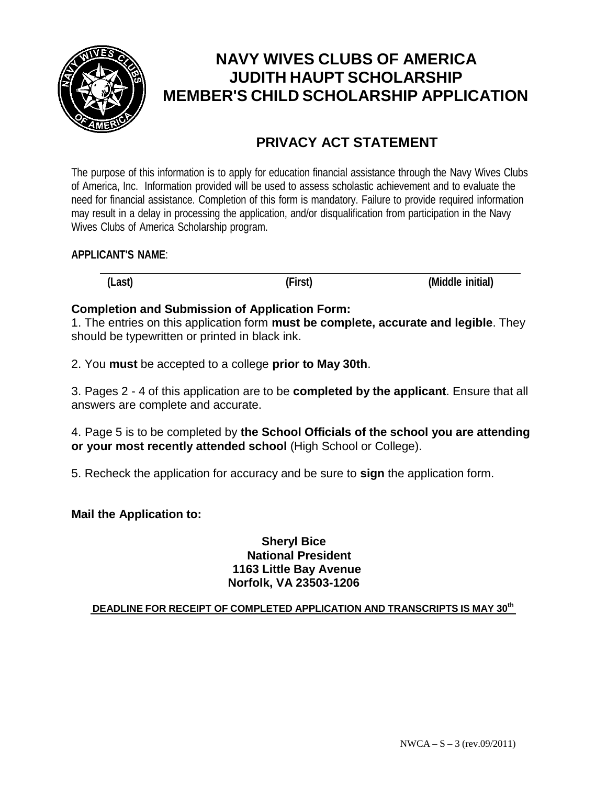

# **NAVY WIVES CLUBS OF AMERICA JUDITH HAUPT SCHOLARSHIP MEMBER'S CHILD SCHOLARSHIP APPLICATION**

## **PRIVACY ACT STATEMENT**

The purpose of this information is to apply for education financial assistance through the Navy Wives Clubs of America, Inc. Information provided will be used to assess scholastic achievement and to evaluate the need for financial assistance. Completion of this form is mandatory. Failure to provide required information may result in a delay in processing the application, and/or disqualification from participation in the Navy Wives Clubs of America Scholarship program.

#### **APPLICANT'S NAME**:

**(Last) (First) (Middle initial)**

#### **Completion and Submission of Application Form:**

1. The entries on this application form **must be complete, accurate and legible**. They should be typewritten or printed in black ink.

2. You **must** be accepted to a college **prior to May 30th**.

3. Pages 2 - 4 of this application are to be **completed by the applicant**. Ensure that all answers are complete and accurate.

4. Page 5 is to be completed by **the School Officials of the school you are attending or your most recently attended school** (High School or College).

5. Recheck the application for accuracy and be sure to **sign** the application form.

#### **Mail the Application to:**

#### **Sheryl Bice National President 1163 Little Bay Avenue Norfolk, VA 23503-1206**

#### **DEADLINE FOR RECEIPT OF COMPLETED APPLICATION AND TRANSCRIPTS IS MAY 30th**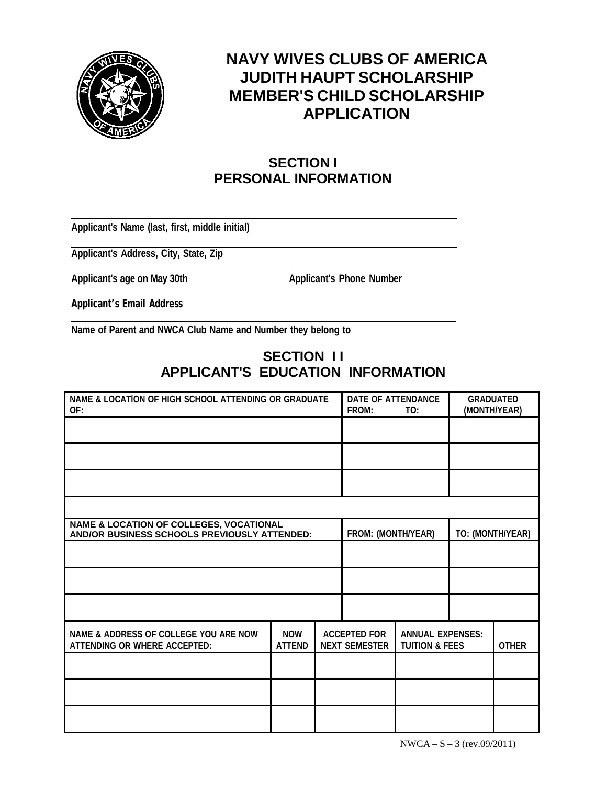

## **NAVY WIVES CLUBS OF AMERICA JUDITH HAUPT SCHOLARSHIP MEMBER'S CHILD SCHOLARSHIP APPLICATION**

### **SECTION I PERSONAL INFORMATION**

**Applicant's Name (last, first, middle initial)**

**Applicant's Address, City, State, Zip**

**Applicant's age on May 30th Applicant's Phone Number**

**Applicant's Email Address**

**Name of Parent and NWCA Club Name and Number they belong to**

### **SECTION I I APPLICANT'S EDUCATION INFORMATION**

| NAME & LOCATION OF HIGH SCHOOL ATTENDING OR GRADUATE<br>OF:                                        |                             | DATE OF ATTENDANCE<br>FROM:                 | TO: | <b>GRADUATED</b><br>(MONTH/YEAR)                     |  |              |
|----------------------------------------------------------------------------------------------------|-----------------------------|---------------------------------------------|-----|------------------------------------------------------|--|--------------|
|                                                                                                    |                             |                                             |     |                                                      |  |              |
|                                                                                                    |                             |                                             |     |                                                      |  |              |
|                                                                                                    |                             |                                             |     |                                                      |  |              |
|                                                                                                    |                             |                                             |     |                                                      |  |              |
| <b>NAME &amp; LOCATION OF COLLEGES, VOCATIONAL</b><br>AND/OR BUSINESS SCHOOLS PREVIOUSLY ATTENDED: |                             | FROM: (MONTH/YEAR)                          |     | TO: (MONTH/YEAR)                                     |  |              |
|                                                                                                    |                             |                                             |     |                                                      |  |              |
|                                                                                                    |                             |                                             |     |                                                      |  |              |
|                                                                                                    |                             |                                             |     |                                                      |  |              |
| NAME & ADDRESS OF COLLEGE YOU ARE NOW<br>ATTENDING OR WHERE ACCEPTED:                              | <b>NOW</b><br><b>ATTEND</b> | <b>ACCEPTED FOR</b><br><b>NEXT SEMESTER</b> |     | <b>ANNUAL EXPENSES:</b><br><b>TUITION &amp; FEES</b> |  | <b>OTHER</b> |
|                                                                                                    |                             |                                             |     |                                                      |  |              |
|                                                                                                    |                             |                                             |     |                                                      |  |              |
|                                                                                                    |                             |                                             |     |                                                      |  |              |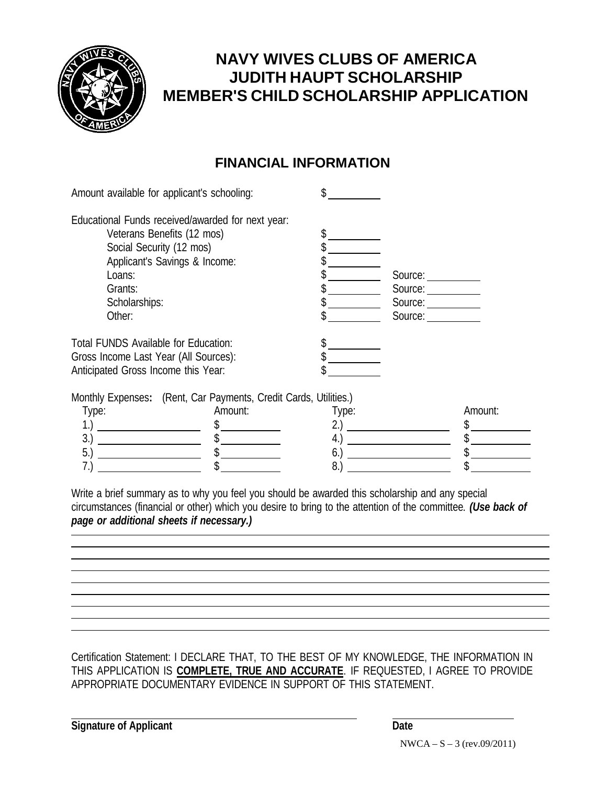

## **NAVY WIVES CLUBS OF AMERICA JUDITH HAUPT SCHOLARSHIP MEMBER'S CHILD SCHOLARSHIP APPLICATION**

### **FINANCIAL INFORMATION**

| Amount available for applicant's schooling:                      |       |                                                                                                                                                                                                                                |         |
|------------------------------------------------------------------|-------|--------------------------------------------------------------------------------------------------------------------------------------------------------------------------------------------------------------------------------|---------|
| Educational Funds received/awarded for next year:                |       |                                                                                                                                                                                                                                |         |
| Veterans Benefits (12 mos)                                       |       |                                                                                                                                                                                                                                |         |
| Social Security (12 mos)                                         |       |                                                                                                                                                                                                                                |         |
| Applicant's Savings & Income:                                    |       |                                                                                                                                                                                                                                |         |
| Loans:                                                           |       | Source:                                                                                                                                                                                                                        |         |
| Grants:                                                          |       | Source:                                                                                                                                                                                                                        |         |
| Scholarships:                                                    |       | Source:                                                                                                                                                                                                                        |         |
| Other:                                                           |       | Source: Source: Source: Source: Source: Source: Source: Source: Source: Source: Source: Source: Source: Source: Source: Source: Source: Source: Source: Source: Source: Source: Source: Source: Source: Source: Source: Source |         |
| Total FUNDS Available for Education:                             |       |                                                                                                                                                                                                                                |         |
| Gross Income Last Year (All Sources):                            |       |                                                                                                                                                                                                                                |         |
| Anticipated Gross Income this Year:                              |       |                                                                                                                                                                                                                                |         |
| Monthly Expenses: (Rent, Car Payments, Credit Cards, Utilities.) |       |                                                                                                                                                                                                                                |         |
| Amount:<br>Type:                                                 | Type: |                                                                                                                                                                                                                                | Amount: |
| 1.                                                               | 2.)   |                                                                                                                                                                                                                                |         |
| 3.                                                               | 4.)   |                                                                                                                                                                                                                                |         |
| 5.)                                                              | 6.)   |                                                                                                                                                                                                                                |         |
| 7.)                                                              | 8.    |                                                                                                                                                                                                                                |         |
|                                                                  |       |                                                                                                                                                                                                                                |         |

Write a brief summary as to why you feel you should be awarded this scholarship and any special circumstances (financial or other) which you desire to bring to the attention of the committee*. (Use back of page or additional sheets if necessary.)*

Certification Statement: I DECLARE THAT, TO THE BEST OF MY KNOWLEDGE, THE INFORMATION IN THIS APPLICATION IS **COMPLETE, TRUE AND ACCURATE**. IF REQUESTED, I AGREE TO PROVIDE APPROPRIATE DOCUMENTARY EVIDENCE IN SUPPORT OF THIS STATEMENT.

**Signature** of Applicant **Date**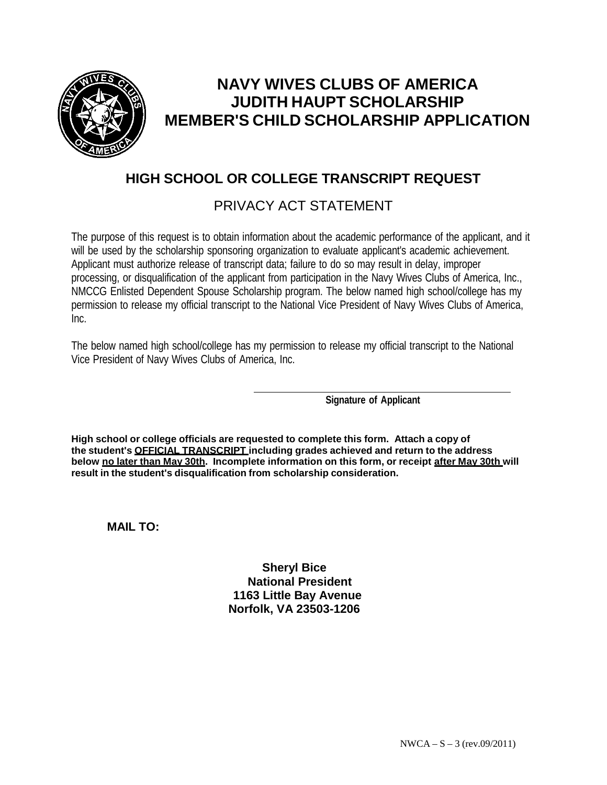

# **NAVY WIVES CLUBS OF AMERICA JUDITH HAUPT SCHOLARSHIP MEMBER'S CHILD SCHOLARSHIP APPLICATION**

### **HIGH SCHOOL OR COLLEGE TRANSCRIPT REQUEST**

### PRIVACY ACT STATEMENT

The purpose of this request is to obtain information about the academic performance of the applicant, and it will be used by the scholarship sponsoring organization to evaluate applicant's academic achievement. Applicant must authorize release of transcript data; failure to do so may result in delay, improper processing, or disqualification of the applicant from participation in the Navy Wives Clubs of America, Inc., NMCCG Enlisted Dependent Spouse Scholarship program. The below named high school/college has my permission to release my official transcript to the National Vice President of Navy Wives Clubs of America, Inc.

The below named high school/college has my permission to release my official transcript to the National Vice President of Navy Wives Clubs of America, Inc.

**Signature of Applicant**

**High school or college officials are requested to complete this form. Attach a copy of the student's OFFICIAL TRANSCRIPT including grades achieved and return to the address below no later than May 30th. Incomplete information on this form, or receipt after May 30th will result in the student's disqualification from scholarship consideration.**

**MAIL TO:**

**Sheryl Bice National President 1163 Little Bay Avenue Norfolk, VA 23503-1206**